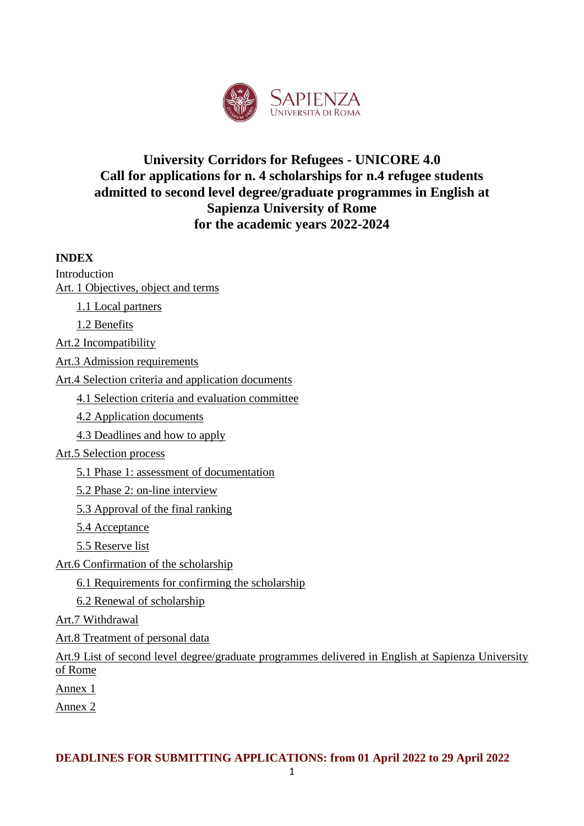

## **University Corridors for Refugees - UNICORE 4.0 Call for applications for n. 4 scholarships for n.4 refugee students admitted to second level degree/graduate programmes in English at Sapienza University of Rome for the academic years 2022-2024**

### **INDEX**

Introduction Art. [1 Objectives, object and terms](https://translate.googleusercontent.com/translate_f#_Toc60924841)

[1.1 Local partners](https://translate.googleusercontent.com/translate_f#_Toc60924842)

[1.2 Benefits](https://translate.googleusercontent.com/translate_f#_Toc60924843)

[Art.2 Incompatibility](https://translate.googleusercontent.com/translate_f#_Toc60924844)

[Art.3 Admission requirements](https://translate.googleusercontent.com/translate_f#_Toc60924845)

[Art.4 Selection criteria and](https://translate.googleusercontent.com/translate_f#_Toc60924846) application documents

[4.1 Selection criteria](https://translate.googleusercontent.com/translate_f#_Toc60924847) and evaluation committee

[4.2 Application](https://translate.googleusercontent.com/translate_f#_Toc60924848) documents

[4.3 Deadlines and how](https://translate.googleusercontent.com/translate_f#_Toc60924849) to apply

#### [Art.5 Selection process](https://translate.googleusercontent.com/translate_f#_Toc60924850)

[5.1 Phase 1: assessment of](https://translate.googleusercontent.com/translate_f#_Toc60924851) documentation

[5.2 Phase 2: on-line interview](https://translate.googleusercontent.com/translate_f#_Toc60924852)

[5.3 Approval of the final ranking](https://translate.googleusercontent.com/translate_f#_Toc60924853)

[5.4 Acceptance](https://translate.googleusercontent.com/translate_f#_Toc60924854)

[5.5 Reserve list](https://translate.googleusercontent.com/translate_f#_Toc60924855)

[Art.6 Confirmation of the scholarship](https://translate.googleusercontent.com/translate_f#_Toc60924856) 

6.1 Requirements for [confirming the scholarship](https://translate.googleusercontent.com/translate_f#_Toc60924857)

6.2 Renewal [of scholarship](https://translate.googleusercontent.com/translate_f#_Toc60924858)

Art.7 [Withdrawal](https://translate.googleusercontent.com/translate_f#_Toc60924859)

[Art.8 Treatment of personal data](https://translate.googleusercontent.com/translate_f#_Toc60924860)

[Art.9 List of second level degree/graduate programmes](https://translate.googleusercontent.com/translate_f#_Toc60924861) delivered in English at Sapienza University [of Rome](https://translate.googleusercontent.com/translate_f#_Toc60924861) 

[Annex 1](https://translate.googleusercontent.com/translate_f#_Toc60924862)

Annex 2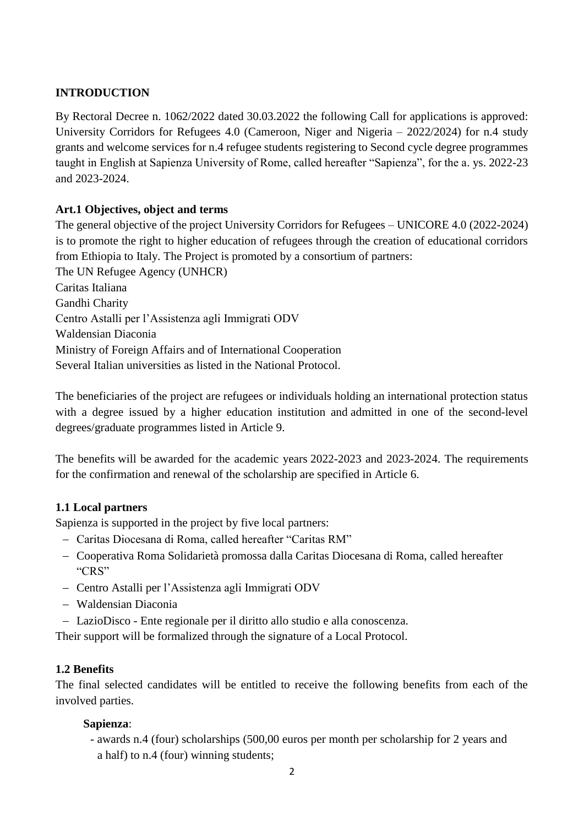#### **INTRODUCTION**

By Rectoral Decree n. 1062/2022 dated 30.03.2022 the following Call for applications is approved: University Corridors for Refugees 4.0 (Cameroon, Niger and Nigeria – 2022/2024) for n.4 study grants and welcome services for n.4 refugee students registering to Second cycle degree programmes taught in English at Sapienza University of Rome, called hereafter "Sapienza", for the a. ys. 2022-23 and 2023-2024.

#### **Art.1 Objectives, object and terms**

The general objective of the project University Corridors for Refugees – UNICORE 4.0 (2022-2024) is to promote the right to higher education of refugees through the creation of educational corridors from Ethiopia to Italy. The Project is promoted by a consortium of partners: The UN Refugee Agency (UNHCR) Caritas Italiana Gandhi Charity Centro Astalli per l'Assistenza agli Immigrati ODV Waldensian Diaconia Ministry of Foreign Affairs and of International Cooperation Several Italian universities as listed in the National Protocol.

The beneficiaries of the project are refugees or individuals holding an international protection status with a degree issued by a higher education institution and admitted in one of the second-level degrees/graduate programmes listed in Article 9.

The benefits will be awarded for the academic years 2022-2023 and 2023-2024. The requirements for the confirmation and renewal of the scholarship are specified in Article 6.

#### **1.1 Local partners**

Sapienza is supported in the project by five local partners:

- − Caritas Diocesana di Roma, called hereafter "Caritas RM"
- − Cooperativa Roma Solidarietà promossa dalla Caritas Diocesana di Roma, called hereafter "CRS"
- − Centro Astalli per l'Assistenza agli Immigrati ODV
- − Waldensian Diaconia
- − LazioDisco Ente regionale per il diritto allo studio e alla conoscenza.

Their support will be formalized through the signature of a Local Protocol.

#### **1.2 Benefits**

The final selected candidates will be entitled to receive the following benefits from each of the involved parties.

#### **Sapienza**:

- awards n.4 (four) scholarships (500,00 euros per month per scholarship for 2 years and a half) to n.4 (four) winning students;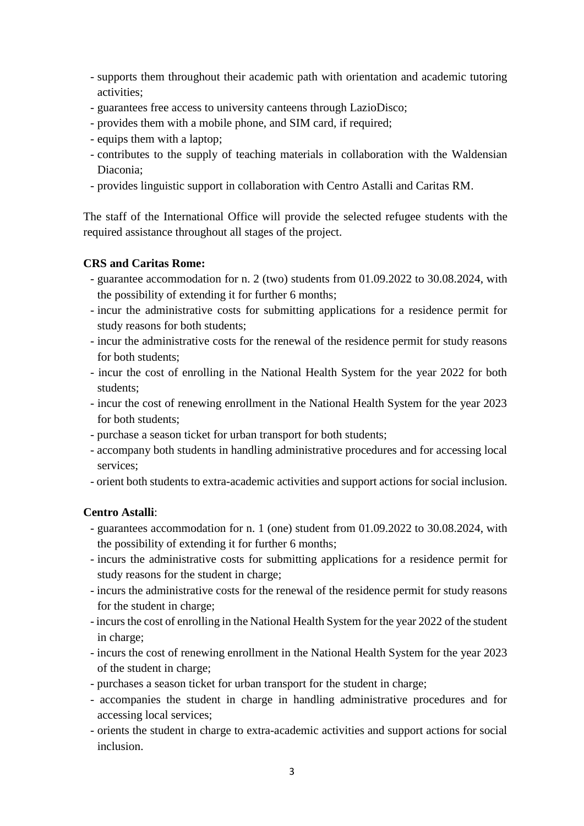- supports them throughout their academic path with orientation and academic tutoring activities;
- guarantees free access to university canteens through LazioDisco;
- provides them with a mobile phone, and SIM card, if required;
- equips them with a laptop;
- contributes to the supply of teaching materials in collaboration with the Waldensian Diaconia;
- provides linguistic support in collaboration with Centro Astalli and Caritas RM.

The staff of the International Office will provide the selected refugee students with the required assistance throughout all stages of the project.

#### **CRS and Caritas Rome:**

- guarantee accommodation for n. 2 (two) students from 01.09.2022 to 30.08.2024, with the possibility of extending it for further 6 months;
- incur the administrative costs for submitting applications for a residence permit for study reasons for both students;
- incur the administrative costs for the renewal of the residence permit for study reasons for both students;
- incur the cost of enrolling in the National Health System for the year 2022 for both students;
- incur the cost of renewing enrollment in the National Health System for the year 2023 for both students;
- purchase a season ticket for urban transport for both students;
- accompany both students in handling administrative procedures and for accessing local services;
- orient both students to extra-academic activities and support actions for social inclusion.

#### **Centro Astalli**:

- guarantees accommodation for n. 1 (one) student from 01.09.2022 to 30.08.2024, with the possibility of extending it for further 6 months;
- incurs the administrative costs for submitting applications for a residence permit for study reasons for the student in charge;
- incurs the administrative costs for the renewal of the residence permit for study reasons for the student in charge;
- incurs the cost of enrolling in the National Health System for the year 2022 of the student in charge;
- incurs the cost of renewing enrollment in the National Health System for the year 2023 of the student in charge;
- purchases a season ticket for urban transport for the student in charge;
- accompanies the student in charge in handling administrative procedures and for accessing local services;
- orients the student in charge to extra-academic activities and support actions for social inclusion.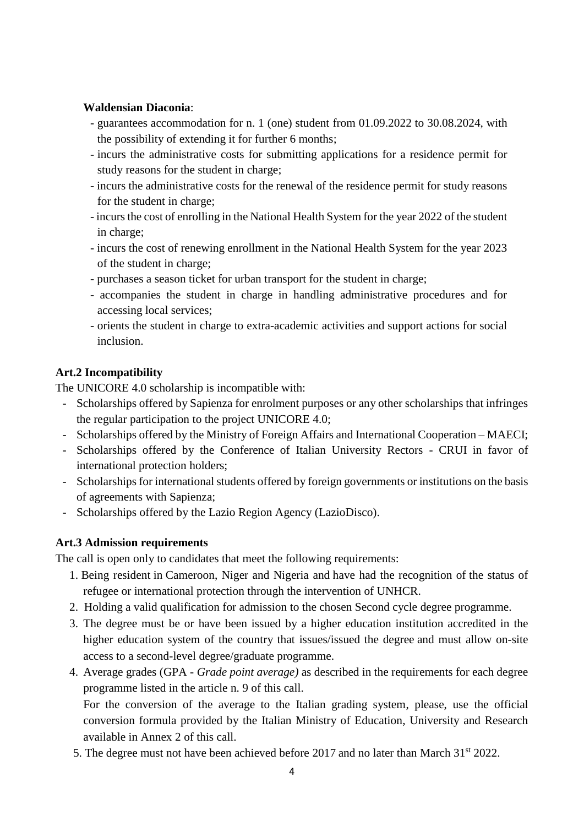#### **Waldensian Diaconia**:

- guarantees accommodation for n. 1 (one) student from 01.09.2022 to 30.08.2024, with the possibility of extending it for further 6 months;
- incurs the administrative costs for submitting applications for a residence permit for study reasons for the student in charge;
- incurs the administrative costs for the renewal of the residence permit for study reasons for the student in charge;
- incurs the cost of enrolling in the National Health System for the year 2022 of the student in charge;
- incurs the cost of renewing enrollment in the National Health System for the year 2023 of the student in charge;
- purchases a season ticket for urban transport for the student in charge;
- accompanies the student in charge in handling administrative procedures and for accessing local services;
- orients the student in charge to extra-academic activities and support actions for social inclusion.

#### **Art.2 Incompatibility**

The UNICORE 4.0 scholarship is incompatible with:

- Scholarships offered by Sapienza for enrolment purposes or any other scholarships that infringes the regular participation to the project UNICORE 4.0;
- Scholarships offered by the Ministry of Foreign Affairs and International Cooperation MAECI;
- Scholarships offered by the Conference of Italian University Rectors CRUI in favor of international protection holders;
- Scholarships for international students offered by foreign governments or institutions on the basis of agreements with Sapienza;
- Scholarships offered by the Lazio Region Agency (LazioDisco).

#### **Art.3 Admission requirements**

The call is open only to candidates that meet the following requirements:

- 1. Being resident in Cameroon, Niger and Nigeria and have had the recognition of the status of refugee or international protection through the intervention of UNHCR.
- 2. Holding a valid qualification for admission to the chosen Second cycle degree programme.
- 3. The degree must be or have been issued by a higher education institution accredited in the higher education system of the country that issues/issued the degree and must allow on-site access to a second-level degree/graduate programme.
- 4. Average grades (GPA *Grade point average)* as described in the requirements for each degree programme listed in the article n. 9 of this call.

For the conversion of the average to the Italian grading system, please, use the official conversion formula provided by the Italian Ministry of Education, University and Research available in Annex 2 of this call.

5. The degree must not have been achieved before 2017 and no later than March 31<sup>st</sup> 2022.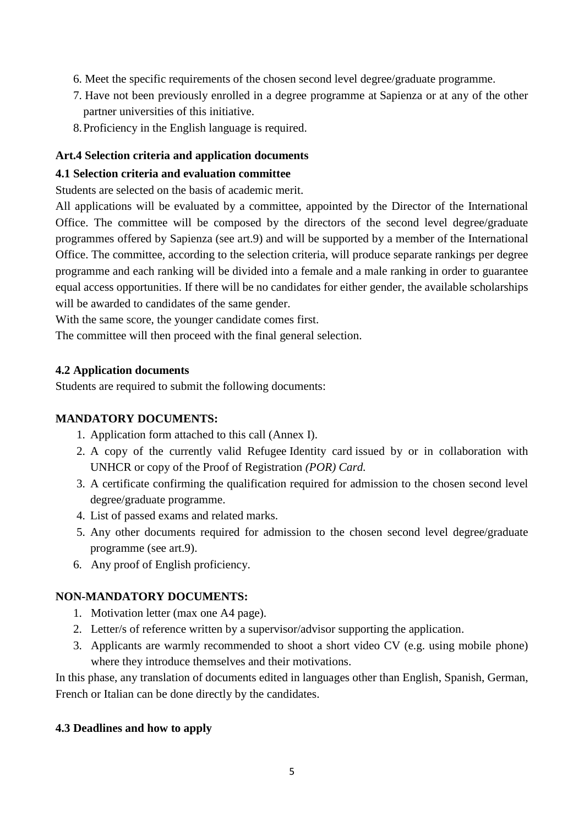- 6. Meet the specific requirements of the chosen second level degree/graduate programme.
- 7. Have not been previously enrolled in a degree programme at Sapienza or at any of the other partner universities of this initiative.
- 8.Proficiency in the English language is required.

#### **Art.4 Selection criteria and application documents**

#### **4.1 Selection criteria and evaluation committee**

Students are selected on the basis of academic merit.

All applications will be evaluated by a committee, appointed by the Director of the International Office. The committee will be composed by the directors of the second level degree/graduate programmes offered by Sapienza (see art.9) and will be supported by a member of the International Office. The committee, according to the selection criteria, will produce separate rankings per degree programme and each ranking will be divided into a female and a male ranking in order to guarantee equal access opportunities. If there will be no candidates for either gender, the available scholarships will be awarded to candidates of the same gender.

With the same score, the younger candidate comes first.

The committee will then proceed with the final general selection.

#### **4.2 Application documents**

Students are required to submit the following documents:

#### **MANDATORY DOCUMENTS:**

- 1. Application form attached to this call (Annex I).
- 2. A copy of the currently valid Refugee Identity card issued by or in collaboration with UNHCR or copy of the Proof of Registration *(POR) Card.*
- 3. A certificate confirming the qualification required for admission to the chosen second level degree/graduate programme.
- 4. List of passed exams and related marks.
- 5. Any other documents required for admission to the chosen second level degree/graduate programme (see art.9).
- 6. Any proof of English proficiency.

#### **NON-MANDATORY DOCUMENTS:**

- 1. Motivation letter (max one A4 page).
- 2. Letter/s of reference written by a supervisor/advisor supporting the application.
- 3. Applicants are warmly recommended to shoot a short video CV (e.g. using mobile phone) where they introduce themselves and their motivations.

In this phase, any translation of documents edited in languages other than English, Spanish, German, French or Italian can be done directly by the candidates.

#### **4.3 Deadlines and how to apply**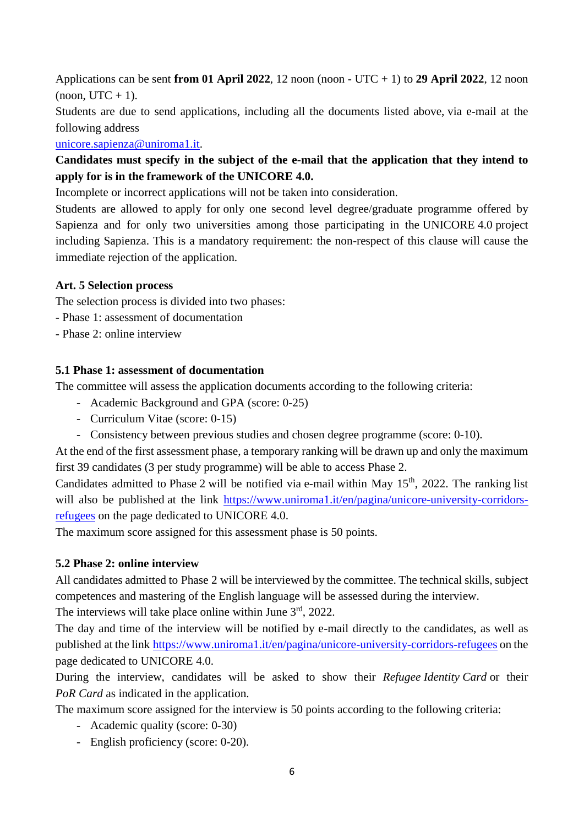Applications can be sent **from 01 April 2022**, 12 noon (noon - UTC + 1) to **29 April 2022**, 12 noon  $($ noon, UTC + 1 $).$ 

Students are due to send applications, including all the documents listed above, via e-mail at the following address

[unicore.sapienza@uniroma1.it.](mailto:unicore.sapienza@uniroma1.it)

### **Candidates must specify in the subject of the e-mail that the application that they intend to apply for is in the framework of the UNICORE 4.0.**

Incomplete or incorrect applications will not be taken into consideration.

Students are allowed to apply for only one second level degree/graduate programme offered by Sapienza and for only two universities among those participating in the UNICORE 4.0 project including Sapienza. This is a mandatory requirement: the non-respect of this clause will cause the immediate rejection of the application.

#### **Art. 5 Selection process**

The selection process is divided into two phases:

- Phase 1: assessment of documentation
- Phase 2: online interview

#### **5.1 Phase 1: assessment of documentation**

The committee will assess the application documents according to the following criteria:

- Academic Background and GPA (score: 0-25)
- Curriculum Vitae (score: 0-15)
- Consistency between previous studies and chosen degree programme (score: 0-10).

At the end of the first assessment phase, a temporary ranking will be drawn up and only the maximum first 39 candidates (3 per study programme) will be able to access Phase 2.

Candidates admitted to Phase 2 will be notified via e-mail within May 15<sup>th</sup>, 2022. The ranking list will also be published at the link [https://www.uniroma1.it/en/pagina/unicore-university-corridors](https://www.uniroma1.it/en/pagina/unicore-university-corridors-refugees)[refugees](https://www.uniroma1.it/en/pagina/unicore-university-corridors-refugees) on the page dedicated to UNICORE 4.0.

The maximum score assigned for this assessment phase is 50 points.

#### **5.2 Phase 2: online interview**

All candidates admitted to Phase 2 will be interviewed by the committee. The technical skills, subject competences and mastering of the English language will be assessed during the interview.

The interviews will take place online within June  $3<sup>rd</sup>$ , 2022.

The day and time of the interview will be notified by e-mail directly to the candidates, as well as published at the link <https://www.uniroma1.it/en/pagina/unicore-university-corridors-refugees> on the page dedicated to UNICORE 4.0.

During the interview, candidates will be asked to show their *Refugee Identity Card* or their *PoR Card* as indicated in the application.

The maximum score assigned for the interview is 50 points according to the following criteria:

- Academic quality (score: 0-30)
- English proficiency (score: 0-20).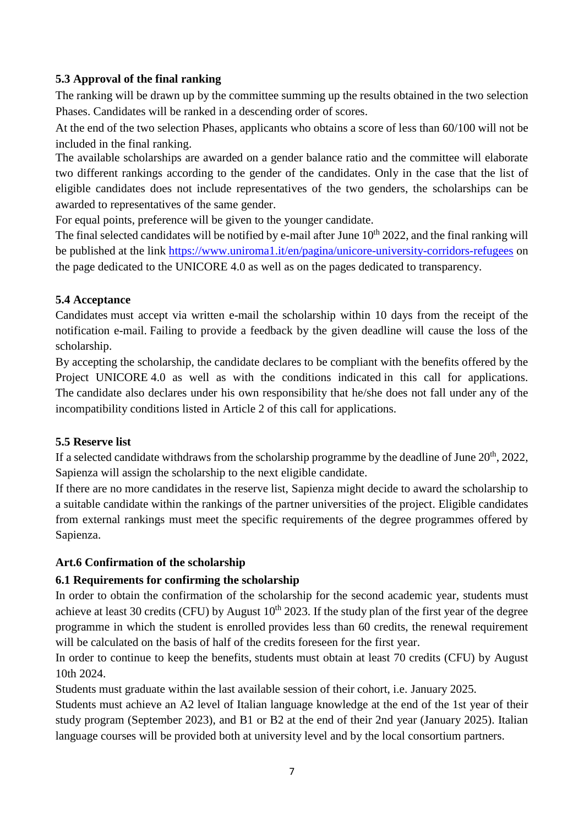#### **5.3 Approval of the final ranking**

The ranking will be drawn up by the committee summing up the results obtained in the two selection Phases. Candidates will be ranked in a descending order of scores.

At the end of the two selection Phases, applicants who obtains a score of less than 60/100 will not be included in the final ranking.

The available scholarships are awarded on a gender balance ratio and the committee will elaborate two different rankings according to the gender of the candidates. Only in the case that the list of eligible candidates does not include representatives of the two genders, the scholarships can be awarded to representatives of the same gender.

For equal points, preference will be given to the younger candidate.

The final selected candidates will be notified by e-mail after June  $10<sup>th</sup>$  2022, and the final ranking will be published at the link <https://www.uniroma1.it/en/pagina/unicore-university-corridors-refugees> on the page dedicated to the UNICORE 4.0 as well as on the pages dedicated to transparency.

#### **5.4 Acceptance**

Candidates must accept via written e-mail the scholarship within 10 days from the receipt of the notification e-mail. Failing to provide a feedback by the given deadline will cause the loss of the scholarship.

By accepting the scholarship, the candidate declares to be compliant with the benefits offered by the Project UNICORE 4.0 as well as with the conditions indicated in this call for applications. The candidate also declares under his own responsibility that he/she does not fall under any of the incompatibility conditions listed in Article 2 of this call for applications.

#### **5.5 Reserve list**

If a selected candidate withdraws from the scholarship programme by the deadline of June  $20<sup>th</sup>$ ,  $2022$ , Sapienza will assign the scholarship to the next eligible candidate.

If there are no more candidates in the reserve list, Sapienza might decide to award the scholarship to a suitable candidate within the rankings of the partner universities of the project. Eligible candidates from external rankings must meet the specific requirements of the degree programmes offered by Sapienza.

#### **Art.6 Confirmation of the scholarship**

#### **6.1 Requirements for confirming the scholarship**

In order to obtain the confirmation of the scholarship for the second academic year, students must achieve at least 30 credits (CFU) by August  $10^{th}$  2023. If the study plan of the first year of the degree programme in which the student is enrolled provides less than 60 credits, the renewal requirement will be calculated on the basis of half of the credits foreseen for the first year.

In order to continue to keep the benefits, students must obtain at least 70 credits (CFU) by August 10th 2024.

Students must graduate within the last available session of their cohort, i.e. January 2025.

Students must achieve an A2 level of Italian language knowledge at the end of the 1st year of their study program (September 2023), and B1 or B2 at the end of their 2nd year (January 2025). Italian language courses will be provided both at university level and by the local consortium partners.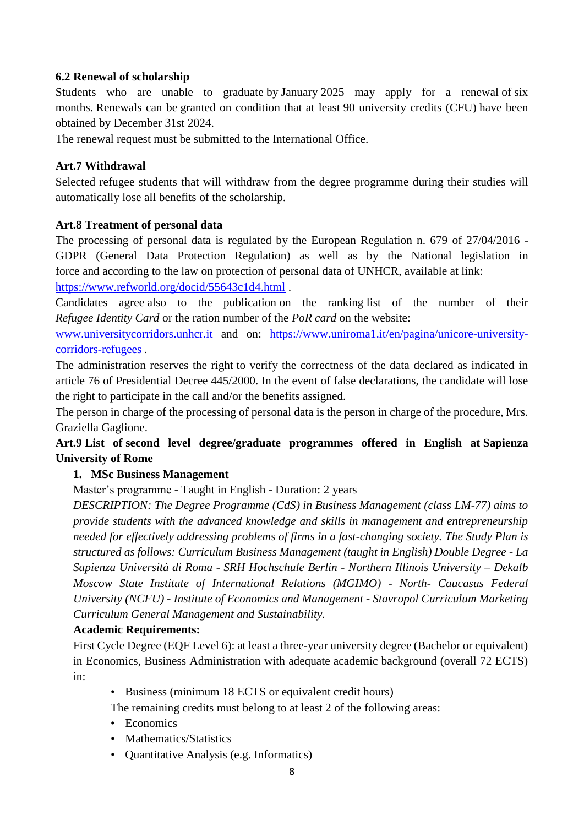#### **6.2 Renewal of scholarship**

Students who are unable to graduate by January 2025 may apply for a renewal of six months. Renewals can be granted on condition that at least 90 university credits (CFU) have been obtained by December 31st 2024.

The renewal request must be submitted to the International Office.

#### **Art.7 Withdrawal**

Selected refugee students that will withdraw from the degree programme during their studies will automatically lose all benefits of the scholarship.

#### **Art.8 Treatment of personal data**

The processing of personal data is regulated by the European Regulation n. 679 of 27/04/2016 - GDPR (General Data Protection Regulation) as well as by the National legislation in force and according to the law on protection of personal data of UNHCR, available at link: <https://www.refworld.org/docid/55643c1d4.html> .

Candidates agree also to the publication on the ranking list of the number of their *Refugee Identity Card* or the ration number of the *PoR card* on the website:

[www.universitycorridors.unhcr.it](http://www.universitycorridors.unhcr.it/) and on: [https://www.uniroma1.it/en/pagina/unicore-university](https://www.uniroma1.it/en/pagina/unicore-university-corridors-refugees)[corridors-refugees](https://www.uniroma1.it/en/pagina/unicore-university-corridors-refugees) .

The administration reserves the right to verify the correctness of the data declared as indicated in article 76 of Presidential Decree 445/2000. In the event of false declarations, the candidate will lose the right to participate in the call and/or the benefits assigned.

The person in charge of the processing of personal data is the person in charge of the procedure, Mrs. Graziella Gaglione.

#### **Art.9 List of second level degree/graduate programmes offered in English at Sapienza University of Rome**

#### **1. MSc Business Management**

Master's programme - Taught in English - Duration: 2 years

*DESCRIPTION: The Degree Programme (CdS) in Business Management (class LM-77) aims to provide students with the advanced knowledge and skills in management and entrepreneurship needed for effectively addressing problems of firms in a fast-changing society. The Study Plan is structured as follows: Curriculum Business Management (taught in English) Double Degree - La Sapienza Università di Roma - SRH Hochschule Berlin - Northern Illinois University – Dekalb Moscow State Institute of International Relations (MGIMO) - North- Caucasus Federal University (NCFU) - Institute of Economics and Management - Stavropol Curriculum Marketing Curriculum General Management and Sustainability.*

#### **Academic Requirements:**

First Cycle Degree (EQF Level 6): at least a three-year university degree (Bachelor or equivalent) in Economics, Business Administration with adequate academic background (overall 72 ECTS) in:

• Business (minimum 18 ECTS or equivalent credit hours)

The remaining credits must belong to at least 2 of the following areas:

- Economics
- Mathematics/Statistics
- Quantitative Analysis (e.g. Informatics)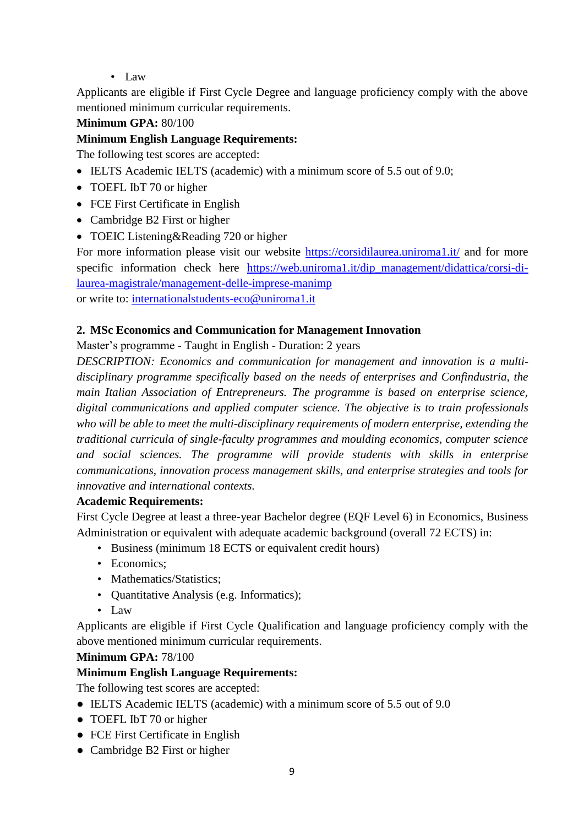• Law

Applicants are eligible if First Cycle Degree and language proficiency comply with the above mentioned minimum curricular requirements.

#### **Minimum GPA:** 80/100

#### **Minimum English Language Requirements:**

The following test scores are accepted:

- IELTS Academic IELTS (academic) with a minimum score of 5.5 out of 9.0;
- TOEFL IbT 70 or higher
- FCE First Certificate in English
- Cambridge B2 First or higher
- TOEIC Listening & Reading 720 or higher

For more information please visit our website<https://corsidilaurea.uniroma1.it/> and for more specific information check here [https://web.uniroma1.it/dip\\_management/didattica/corsi-di](https://web.uniroma1.it/dip_management/didattica/corsi-di-laurea-magistrale/management-delle-imprese-manimp)[laurea-magistrale/management-delle-imprese-manimp](https://web.uniroma1.it/dip_management/didattica/corsi-di-laurea-magistrale/management-delle-imprese-manimp) 

or write to: [internationalstudents-eco@uniroma1.it](mailto:internationalstudents-eco@uniroma1.it)

#### **2. MSc Economics and Communication for Management Innovation**

Master's programme - Taught in English - Duration: 2 years

*DESCRIPTION: Economics and communication for management and innovation is a multidisciplinary programme specifically based on the needs of enterprises and Confindustria, the main Italian Association of Entrepreneurs. The programme is based on enterprise science, digital communications and applied computer science. The objective is to train professionals who will be able to meet the multi-disciplinary requirements of modern enterprise, extending the traditional curricula of single-faculty programmes and moulding economics, computer science and social sciences. The programme will provide students with skills in enterprise communications, innovation process management skills, and enterprise strategies and tools for innovative and international contexts.*

#### **Academic Requirements:**

First Cycle Degree at least a three-year Bachelor degree (EQF Level 6) in Economics, Business Administration or equivalent with adequate academic background (overall 72 ECTS) in:

- Business (minimum 18 ECTS or equivalent credit hours)
- Economics:
- Mathematics/Statistics:
- Quantitative Analysis (e.g. Informatics);
- Law

Applicants are eligible if First Cycle Qualification and language proficiency comply with the above mentioned minimum curricular requirements.

#### **Minimum GPA:** 78/100

#### **Minimum English Language Requirements:**

The following test scores are accepted:

- IELTS Academic IELTS (academic) with a minimum score of 5.5 out of 9.0
- TOEFL IbT 70 or higher
- FCE First Certificate in English
- Cambridge B2 First or higher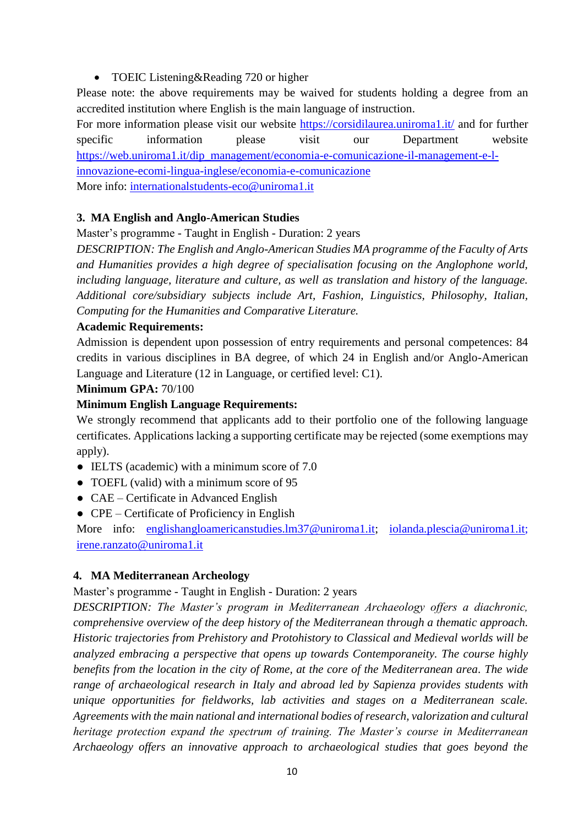• TOEIC Listening&Reading 720 or higher

Please note: the above requirements may be waived for students holding a degree from an accredited institution where English is the main language of instruction.

For more information please visit our website<https://corsidilaurea.uniroma1.it/> and for further specific information please visit our Department website [https://web.uniroma1.it/dip\\_management/economia-e-comunicazione-il-management-e-l](https://web.uniroma1.it/dip_management/economia-e-comunicazione-il-management-e-l-innovazione-ecomi-lingua-inglese/economia-e-comunicazione)[innovazione-ecomi-lingua-inglese/economia-e-comunicazione](https://web.uniroma1.it/dip_management/economia-e-comunicazione-il-management-e-l-innovazione-ecomi-lingua-inglese/economia-e-comunicazione) More info: [internationalstudents-eco@uniroma1.it](mailto:internationalstudents-eco@uniroma1.it)

#### **3. MA English and Anglo-American Studies**

Master's programme - Taught in English - Duration: 2 years

*DESCRIPTION: The English and Anglo-American Studies MA programme of the Faculty of Arts and Humanities provides a high degree of specialisation focusing on the Anglophone world, including language, literature and culture, as well as translation and history of the language. Additional core/subsidiary subjects include Art, Fashion, Linguistics, Philosophy, Italian, Computing for the Humanities and Comparative Literature.* 

#### **Academic Requirements:**

Admission is dependent upon possession of entry requirements and personal competences: 84 credits in various disciplines in BA degree, of which 24 in English and/or Anglo-American Language and Literature (12 in Language, or certified level: C1).

#### **Minimum GPA:** 70/100

#### **Minimum English Language Requirements:**

We strongly recommend that applicants add to their portfolio one of the following language certificates. Applications lacking a supporting certificate may be rejected (some exemptions may apply).

- IELTS (academic) with a minimum score of 7.0
- TOEFL (valid) with a minimum score of 95
- CAE Certificate in Advanced English
- CPE Certificate of Proficiency in English

More info: [englishangloamericanstudies.lm37@uniroma1.it;](mailto:englishangloamericanstudies.lm37@uniroma1.it) [iolanda.plescia@uniroma1.it;](mailto:iolanda.plescia@uniroma1.it) [irene.ranzato@uniroma1.it](mailto:irene.ranzato@uniroma1.it)

#### **4. MA Mediterranean Archeology**

#### Master's programme - Taught in English - Duration: 2 years

*DESCRIPTION: The Master's program in Mediterranean Archaeology offers a diachronic, comprehensive overview of the deep history of the Mediterranean through a thematic approach. Historic trajectories from Prehistory and Protohistory to Classical and Medieval worlds will be analyzed embracing a perspective that opens up towards Contemporaneity. The course highly benefits from the location in the city of Rome, at the core of the Mediterranean area. The wide range of archaeological research in Italy and abroad led by Sapienza provides students with unique opportunities for fieldworks, lab activities and stages on a Mediterranean scale. Agreements with the main national and international bodies of research, valorization and cultural heritage protection expand the spectrum of training. The Master's course in Mediterranean Archaeology offers an innovative approach to archaeological studies that goes beyond the*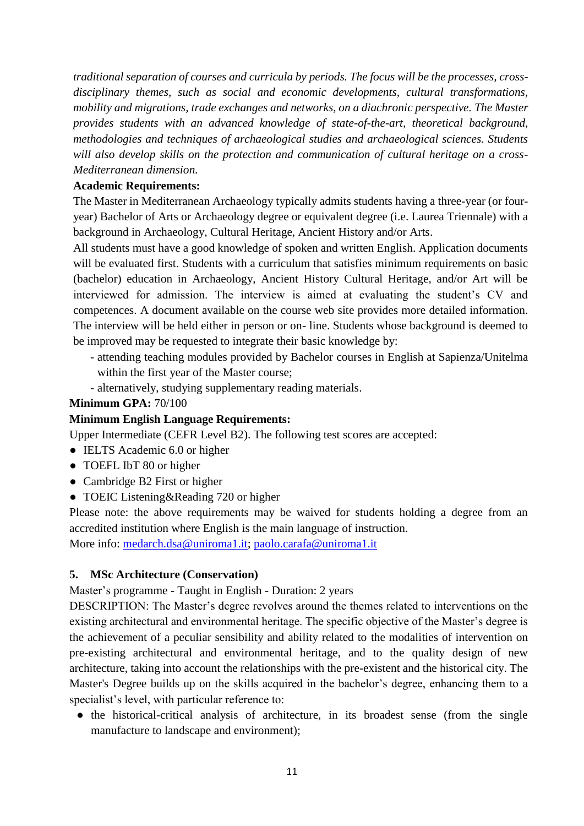*traditional separation of courses and curricula by periods. The focus will be the processes, crossdisciplinary themes, such as social and economic developments, cultural transformations, mobility and migrations, trade exchanges and networks, on a diachronic perspective. The Master provides students with an advanced knowledge of state-of-the-art, theoretical background, methodologies and techniques of archaeological studies and archaeological sciences. Students will also develop skills on the protection and communication of cultural heritage on a cross-Mediterranean dimension.*

#### **Academic Requirements:**

The Master in Mediterranean Archaeology typically admits students having a three-year (or fouryear) Bachelor of Arts or Archaeology degree or equivalent degree (i.e. Laurea Triennale) with a background in Archaeology, Cultural Heritage, Ancient History and/or Arts.

All students must have a good knowledge of spoken and written English. Application documents will be evaluated first. Students with a curriculum that satisfies minimum requirements on basic (bachelor) education in Archaeology, Ancient History Cultural Heritage, and/or Art will be interviewed for admission. The interview is aimed at evaluating the student's CV and competences. A document available on the course web site provides more detailed information. The interview will be held either in person or on- line. Students whose background is deemed to be improved may be requested to integrate their basic knowledge by:

- attending teaching modules provided by Bachelor courses in English at Sapienza/Unitelma within the first year of the Master course;
- alternatively, studying supplementary reading materials.

#### **Minimum GPA:** 70/100

#### **Minimum English Language Requirements:**

Upper Intermediate (CEFR Level B2). The following test scores are accepted:

- IELTS Academic 6.0 or higher
- TOEFL IbT 80 or higher
- Cambridge B2 First or higher
- TOEIC Listening & Reading 720 or higher

Please note: the above requirements may be waived for students holding a degree from an accredited institution where English is the main language of instruction.

More info: [medarch.dsa@uniroma1.it;](mailto:medarch.dsa@uniroma1.it) [paolo.carafa@uniroma1.it](mailto:paolo.carafa@uniroma1.it)

#### **5. MSc Architecture (Conservation)**

Master's programme - Taught in English - Duration: 2 years

DESCRIPTION: The Master's degree revolves around the themes related to interventions on the existing architectural and environmental heritage. The specific objective of the Master's degree is the achievement of a peculiar sensibility and ability related to the modalities of intervention on pre-existing architectural and environmental heritage, and to the quality design of new architecture, taking into account the relationships with the pre-existent and the historical city. The Master's Degree builds up on the skills acquired in the bachelor's degree, enhancing them to a specialist's level, with particular reference to:

• the historical-critical analysis of architecture, in its broadest sense (from the single manufacture to landscape and environment);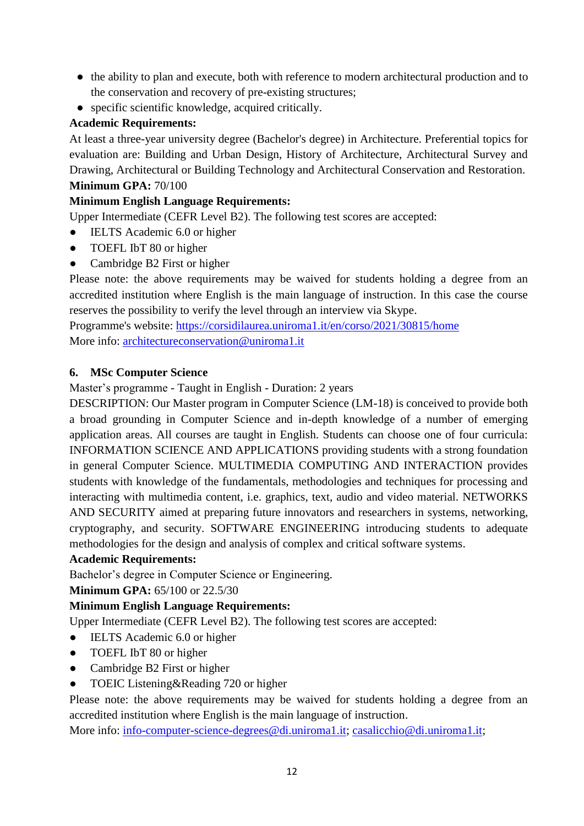- the ability to plan and execute, both with reference to modern architectural production and to the conservation and recovery of pre-existing structures;
- specific scientific knowledge, acquired critically.

#### **Academic Requirements:**

At least a three-year university degree (Bachelor's degree) in Architecture. Preferential topics for evaluation are: Building and Urban Design, History of Architecture, Architectural Survey and Drawing, Architectural or Building Technology and Architectural Conservation and Restoration. **Minimum GPA:** 70/100

#### **Minimum English Language Requirements:**

Upper Intermediate (CEFR Level B2). The following test scores are accepted:

- IELTS Academic 6.0 or higher
- TOEFL IbT 80 or higher
- Cambridge B2 First or higher

Please note: the above requirements may be waived for students holding a degree from an accredited institution where English is the main language of instruction. In this case the course reserves the possibility to verify the level through an interview via Skype.

Programme's website:<https://corsidilaurea.uniroma1.it/en/corso/2021/30815/home> More info: [architectureconservation@uniroma1.it](mailto:architectureconservation@uniroma1.it)

#### **6. MSc Computer Science**

Master's programme - Taught in English - Duration: 2 years

DESCRIPTION: Our Master program in Computer Science (LM-18) is conceived to provide both a broad grounding in Computer Science and in-depth knowledge of a number of emerging application areas. All courses are taught in English. Students can choose one of four curricula: INFORMATION SCIENCE AND APPLICATIONS providing students with a strong foundation in general Computer Science. MULTIMEDIA COMPUTING AND INTERACTION provides students with knowledge of the fundamentals, methodologies and techniques for processing and interacting with multimedia content, i.e. graphics, text, audio and video material. NETWORKS AND SECURITY aimed at preparing future innovators and researchers in systems, networking, cryptography, and security. SOFTWARE ENGINEERING introducing students to adequate methodologies for the design and analysis of complex and critical software systems.

#### **Academic Requirements:**

Bachelor's degree in Computer Science or Engineering.

**Minimum GPA:** 65/100 or 22.5/30

#### **Minimum English Language Requirements:**

Upper Intermediate (CEFR Level B2). The following test scores are accepted:

- IELTS Academic 6.0 or higher
- TOEFL IbT 80 or higher
- Cambridge B2 First or higher
- TOEIC Listening&Reading 720 or higher

Please note: the above requirements may be waived for students holding a degree from an accredited institution where English is the main language of instruction.

More info: [info-computer-science-degrees@di.uniroma1.it;](mailto:info-computer-science-degrees@di.uniroma1.it) [casalicchio@di.uniroma1.it;](mailto:casalicchio@di.uniroma1.it)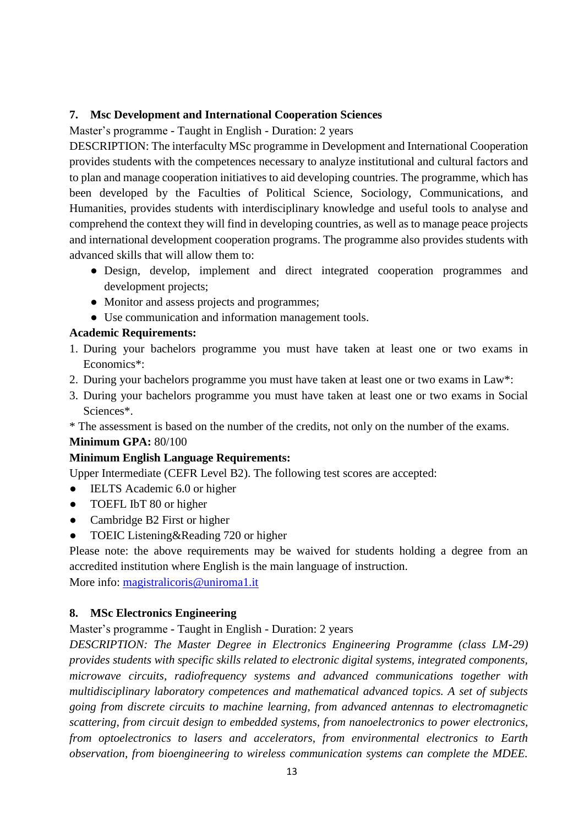#### **7. Msc Development and International Cooperation Sciences**

Master's programme - Taught in English - Duration: 2 years

DESCRIPTION: The interfaculty MSc programme in Development and International Cooperation provides students with the competences necessary to analyze institutional and cultural factors and to plan and manage cooperation initiatives to aid developing countries. The programme, which has been developed by the Faculties of Political Science, Sociology, Communications, and Humanities, provides students with interdisciplinary knowledge and useful tools to analyse and comprehend the context they will find in developing countries, as well as to manage peace projects and international development cooperation programs. The programme also provides students with advanced skills that will allow them to:

- Design, develop, implement and direct integrated cooperation programmes and development projects;
- Monitor and assess projects and programmes;
- Use communication and information management tools.

#### **Academic Requirements:**

- 1. During your bachelors programme you must have taken at least one or two exams in Economics\*:
- 2. During your bachelors programme you must have taken at least one or two exams in Law\*:
- 3. During your bachelors programme you must have taken at least one or two exams in Social Sciences\*.
- \* The assessment is based on the number of the credits, not only on the number of the exams.

#### **Minimum GPA:** 80/100

#### **Minimum English Language Requirements:**

Upper Intermediate (CEFR Level B2). The following test scores are accepted:

- IELTS Academic 6.0 or higher
- TOEFL IbT 80 or higher
- Cambridge B2 First or higher
- TOEIC Listening&Reading 720 or higher

Please note: the above requirements may be waived for students holding a degree from an accredited institution where English is the main language of instruction. More info: [magistralicoris@uniroma1.it](mailto:magistralicoris@uniroma1.it)

#### **8. MSc Electronics Engineering**

Master's programme - Taught in English - Duration: 2 years

*DESCRIPTION: The Master Degree in Electronics Engineering Programme (class LM-29) provides students with specific skills related to electronic digital systems, integrated components, microwave circuits, radiofrequency systems and advanced communications together with multidisciplinary laboratory competences and mathematical advanced topics. A set of subjects going from discrete circuits to machine learning, from advanced antennas to electromagnetic scattering, from circuit design to embedded systems, from nanoelectronics to power electronics, from optoelectronics to lasers and accelerators, from environmental electronics to Earth observation, from bioengineering to wireless communication systems can complete the MDEE.*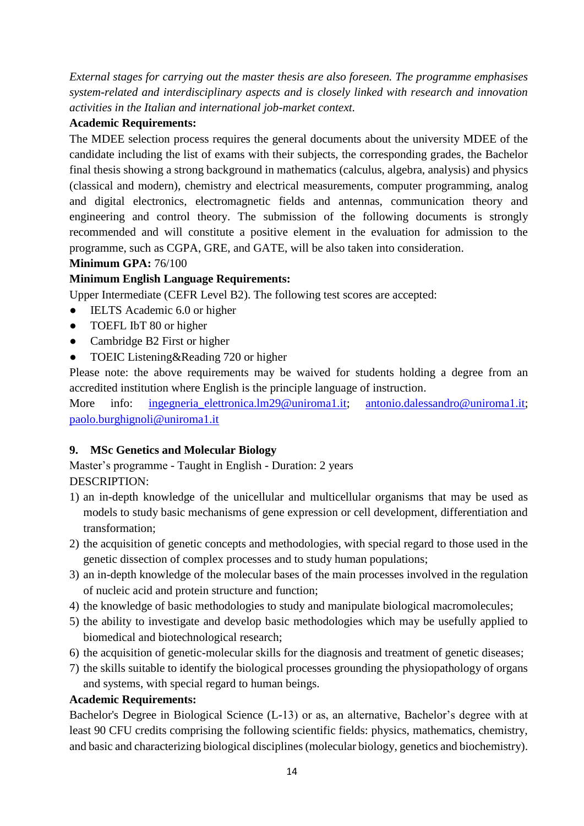*External stages for carrying out the master thesis are also foreseen. The programme emphasises system-related and interdisciplinary aspects and is closely linked with research and innovation activities in the Italian and international job-market context.*

#### **Academic Requirements:**

The MDEE selection process requires the general documents about the university MDEE of the candidate including the list of exams with their subjects, the corresponding grades, the Bachelor final thesis showing a strong background in mathematics (calculus, algebra, analysis) and physics (classical and modern), chemistry and electrical measurements, computer programming, analog and digital electronics, electromagnetic fields and antennas, communication theory and engineering and control theory. The submission of the following documents is strongly recommended and will constitute a positive element in the evaluation for admission to the programme, such as CGPA, GRE, and GATE, will be also taken into consideration.

#### **Minimum GPA:** 76/100

#### **Minimum English Language Requirements:**

Upper Intermediate (CEFR Level B2). The following test scores are accepted:

- IELTS Academic 6.0 or higher
- TOEFL IbT 80 or higher
- Cambridge B2 First or higher
- TOEIC Listening & Reading 720 or higher

Please note: the above requirements may be waived for students holding a degree from an accredited institution where English is the principle language of instruction.

More info: ingegneria elettronica.lm29@uniroma1.it; [antonio.dalessandro@uniroma1.it;](mailto:antonio.dalessandro@uniroma1.it) [paolo.burghignoli@uniroma1.it](mailto:paolo.burghignoli@uniroma1.it)

#### **9. MSc Genetics and Molecular Biology**

Master's programme - Taught in English - Duration: 2 years DESCRIPTION:

- 1) an in-depth knowledge of the unicellular and multicellular organisms that may be used as models to study basic mechanisms of gene expression or cell development, differentiation and transformation;
- 2) the acquisition of genetic concepts and methodologies, with special regard to those used in the genetic dissection of complex processes and to study human populations;
- 3) an in-depth knowledge of the molecular bases of the main processes involved in the regulation of nucleic acid and protein structure and function;
- 4) the knowledge of basic methodologies to study and manipulate biological macromolecules;
- 5) the ability to investigate and develop basic methodologies which may be usefully applied to biomedical and biotechnological research;
- 6) the acquisition of genetic-molecular skills for the diagnosis and treatment of genetic diseases;
- 7) the skills suitable to identify the biological processes grounding the physiopathology of organs and systems, with special regard to human beings.

#### **Academic Requirements:**

Bachelor's Degree in Biological Science (L-13) or as, an alternative, Bachelor's degree with at least 90 CFU credits comprising the following scientific fields: physics, mathematics, chemistry, and basic and characterizing biological disciplines (molecular biology, genetics and biochemistry).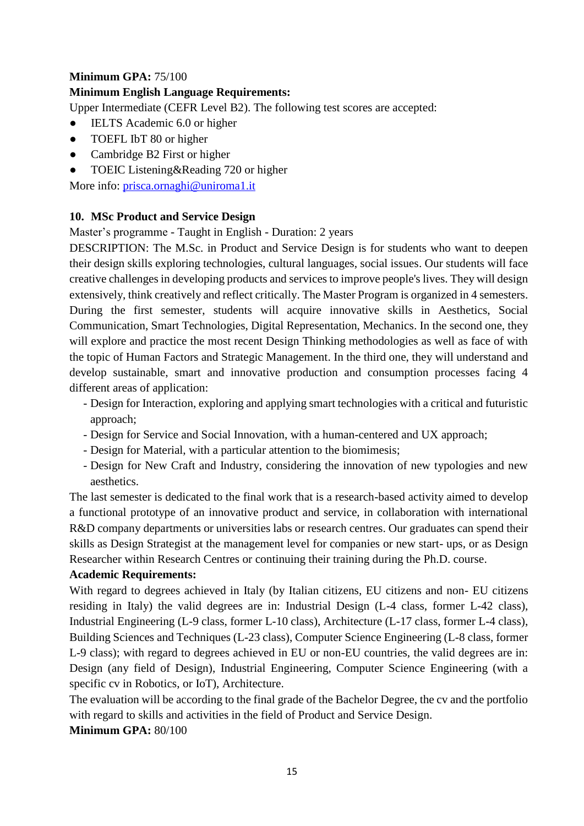#### **Minimum GPA:** 75/100

#### **Minimum English Language Requirements:**

Upper Intermediate (CEFR Level B2). The following test scores are accepted:

- IELTS Academic 6.0 or higher
- TOEFL IbT 80 or higher
- Cambridge B2 First or higher
- TOEIC Listening & Reading 720 or higher

More info: [prisca.ornaghi@uniroma1.it](mailto:prisca.ornaghi@uniroma1.it)

#### **10. MSc Product and Service Design**

Master's programme - Taught in English - Duration: 2 years

DESCRIPTION: The M.Sc. in Product and Service Design is for students who want to deepen their design skills exploring technologies, cultural languages, social issues. Our students will face creative challenges in developing products and services to improve people's lives. They will design extensively, think creatively and reflect critically. The Master Program is organized in 4 semesters. During the first semester, students will acquire innovative skills in Aesthetics, Social Communication, Smart Technologies, Digital Representation, Mechanics. In the second one, they will explore and practice the most recent Design Thinking methodologies as well as face of with the topic of Human Factors and Strategic Management. In the third one, they will understand and develop sustainable, smart and innovative production and consumption processes facing 4 different areas of application:

- Design for Interaction, exploring and applying smart technologies with a critical and futuristic approach;
- Design for Service and Social Innovation, with a human-centered and UX approach;
- Design for Material, with a particular attention to the biomimesis;
- Design for New Craft and Industry, considering the innovation of new typologies and new aesthetics.

The last semester is dedicated to the final work that is a research-based activity aimed to develop a functional prototype of an innovative product and service, in collaboration with international R&D company departments or universities labs or research centres. Our graduates can spend their skills as Design Strategist at the management level for companies or new start- ups, or as Design Researcher within Research Centres or continuing their training during the Ph.D. course.

#### **Academic Requirements:**

With regard to degrees achieved in Italy (by Italian citizens, EU citizens and non- EU citizens residing in Italy) the valid degrees are in: Industrial Design (L-4 class, former L-42 class), Industrial Engineering (L-9 class, former L-10 class), Architecture (L-17 class, former L-4 class), Building Sciences and Techniques (L-23 class), Computer Science Engineering (L-8 class, former L-9 class); with regard to degrees achieved in EU or non-EU countries, the valid degrees are in: Design (any field of Design), Industrial Engineering, Computer Science Engineering (with a specific cv in Robotics, or IoT), Architecture.

The evaluation will be according to the final grade of the Bachelor Degree, the cv and the portfolio with regard to skills and activities in the field of Product and Service Design.

#### **Minimum GPA:** 80/100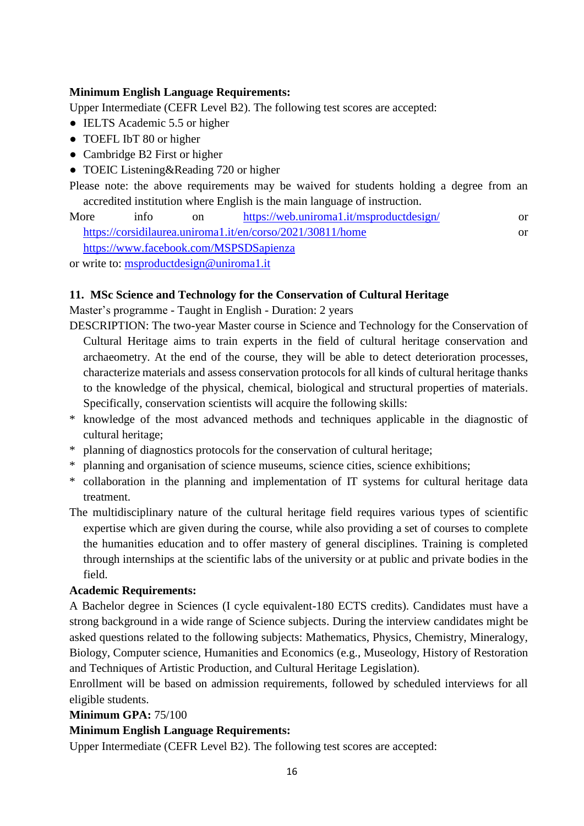#### **Minimum English Language Requirements:**

Upper Intermediate (CEFR Level B2). The following test scores are accepted:

- IELTS Academic 5.5 or higher
- TOEFL IbT 80 or higher
- Cambridge B2 First or higher
- TOEIC Listening&Reading 720 or higher

Please note: the above requirements may be waived for students holding a degree from an accredited institution where English is the main language of instruction.

More info on <https://web.uniroma1.it/msproductdesign/>or <https://corsidilaurea.uniroma1.it/en/corso/2021/30811/home> or <https://www.facebook.com/MSPSDSapienza> or write to: [msproductdesign@uniroma1.it](mailto:msproductdesign@uniroma1.it)

#### **11. MSc Science and Technology for the Conservation of Cultural Heritage**

Master's programme - Taught in English - Duration: 2 years

- DESCRIPTION: The two-year Master course in Science and Technology for the Conservation of Cultural Heritage aims to train experts in the field of cultural heritage conservation and archaeometry. At the end of the course, they will be able to detect deterioration processes, characterize materials and assess conservation protocols for all kinds of cultural heritage thanks to the knowledge of the physical, chemical, biological and structural properties of materials. Specifically, conservation scientists will acquire the following skills:
- \* knowledge of the most advanced methods and techniques applicable in the diagnostic of cultural heritage;
- \* planning of diagnostics protocols for the conservation of cultural heritage;
- \* planning and organisation of science museums, science cities, science exhibitions;
- \* collaboration in the planning and implementation of IT systems for cultural heritage data treatment.
- The multidisciplinary nature of the cultural heritage field requires various types of scientific expertise which are given during the course, while also providing a set of courses to complete the humanities education and to offer mastery of general disciplines. Training is completed through internships at the scientific labs of the university or at public and private bodies in the field.

#### **Academic Requirements:**

A Bachelor degree in Sciences (I cycle equivalent-180 ECTS credits). Candidates must have a strong background in a wide range of Science subjects. During the interview candidates might be asked questions related to the following subjects: Mathematics, Physics, Chemistry, Mineralogy, Biology, Computer science, Humanities and Economics (e.g., Museology, History of Restoration and Techniques of Artistic Production, and Cultural Heritage Legislation).

Enrollment will be based on admission requirements, followed by scheduled interviews for all eligible students.

#### **Minimum GPA:** 75/100

#### **Minimum English Language Requirements:**

Upper Intermediate (CEFR Level B2). The following test scores are accepted: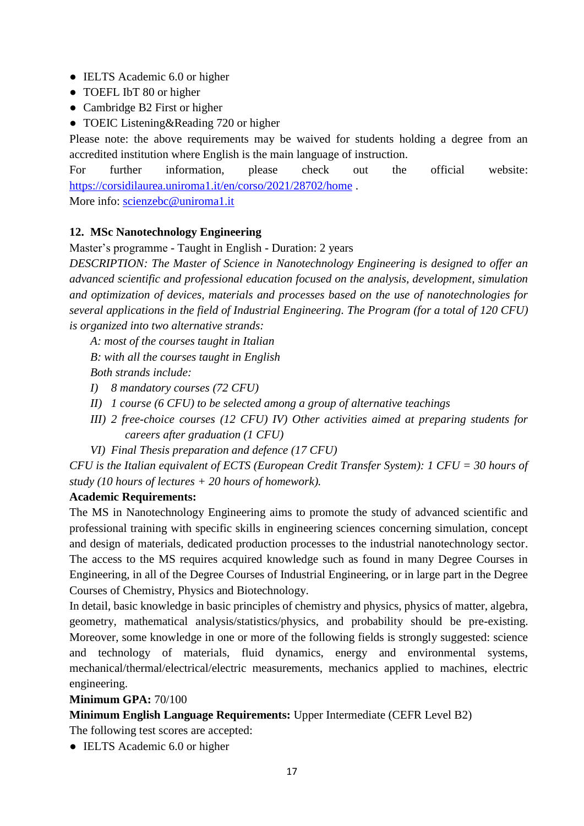- IELTS Academic 6.0 or higher
- TOEFL IbT 80 or higher
- Cambridge B2 First or higher
- TOEIC Listening&Reading 720 or higher

Please note: the above requirements may be waived for students holding a degree from an accredited institution where English is the main language of instruction.

For further information, please check out the official website: <https://corsidilaurea.uniroma1.it/en/corso/2021/28702/home> .

More info: [scienzebc@uniroma1.it](mailto:scienzebc@uniroma1.it)

#### **12. MSc Nanotechnology Engineering**

#### Master's programme - Taught in English - Duration: 2 years

*DESCRIPTION: The Master of Science in Nanotechnology Engineering is designed to offer an advanced scientific and professional education focused on the analysis, development, simulation and optimization of devices, materials and processes based on the use of nanotechnologies for several applications in the field of Industrial Engineering. The Program (for a total of 120 CFU) is organized into two alternative strands:*

*A: most of the courses taught in Italian B: with all the courses taught in English Both strands include:*

- *I) 8 mandatory courses (72 CFU)*
- *II) 1 course (6 CFU) to be selected among a group of alternative teachings*
- *III) 2 free-choice courses (12 CFU) IV) Other activities aimed at preparing students for careers after graduation (1 CFU)*
- *VI) Final Thesis preparation and defence (17 CFU)*

*CFU is the Italian equivalent of ECTS (European Credit Transfer System): 1 CFU = 30 hours of study (10 hours of lectures + 20 hours of homework).*

#### **Academic Requirements:**

The MS in Nanotechnology Engineering aims to promote the study of advanced scientific and professional training with specific skills in engineering sciences concerning simulation, concept and design of materials, dedicated production processes to the industrial nanotechnology sector. The access to the MS requires acquired knowledge such as found in many Degree Courses in Engineering, in all of the Degree Courses of Industrial Engineering, or in large part in the Degree Courses of Chemistry, Physics and Biotechnology.

In detail, basic knowledge in basic principles of chemistry and physics, physics of matter, algebra, geometry, mathematical analysis/statistics/physics, and probability should be pre-existing. Moreover, some knowledge in one or more of the following fields is strongly suggested: science and technology of materials, fluid dynamics, energy and environmental systems, mechanical/thermal/electrical/electric measurements, mechanics applied to machines, electric engineering.

#### **Minimum GPA:** 70/100

**Minimum English Language Requirements:** Upper Intermediate (CEFR Level B2)

The following test scores are accepted:

• IELTS Academic 6.0 or higher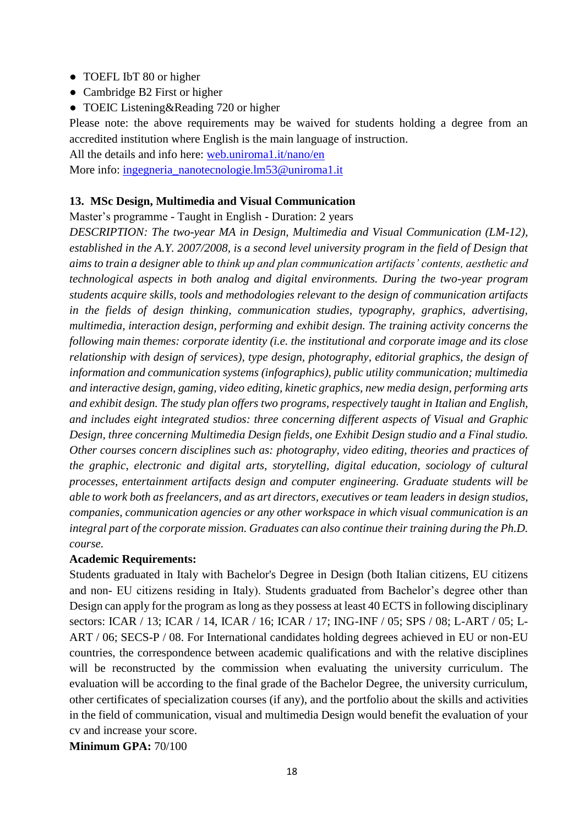- TOEFL IbT 80 or higher
- Cambridge B2 First or higher
- TOEIC Listening & Reading 720 or higher

Please note: the above requirements may be waived for students holding a degree from an accredited institution where English is the main language of instruction.

All the details and info here: web.uniroma1.it/nano/en More info: [ingegneria\\_nanotecnologie.lm53@uniroma1.it](mailto:ingegneria_nanotecnologie.lm53@uniroma1.it)

# **13. MSc Design, Multimedia and Visual Communication**

Master's programme - Taught in English - Duration: 2 years

*DESCRIPTION: The two-year MA in Design, Multimedia and Visual Communication (LM-12), established in the A.Y. 2007/2008, is a second level university program in the field of Design that aims to train a designer able to think up and plan communication artifacts' contents, aesthetic and technological aspects in both analog and digital environments. During the two-year program students acquire skills, tools and methodologies relevant to the design of communication artifacts in the fields of design thinking, communication studies, typography, graphics, advertising, multimedia, interaction design, performing and exhibit design. The training activity concerns the following main themes: corporate identity (i.e. the institutional and corporate image and its close relationship with design of services), type design, photography, editorial graphics, the design of information and communication systems (infographics), public utility communication; multimedia and interactive design, gaming, video editing, kinetic graphics, new media design, performing arts and exhibit design. The study plan offers two programs, respectively taught in Italian and English, and includes eight integrated studios: three concerning different aspects of Visual and Graphic Design, three concerning Multimedia Design fields, one Exhibit Design studio and a Final studio. Other courses concern disciplines such as: photography, video editing, theories and practices of the graphic, electronic and digital arts, storytelling, digital education, sociology of cultural processes, entertainment artifacts design and computer engineering. Graduate students will be able to work both as freelancers, and as art directors, executives or team leaders in design studios, companies, communication agencies or any other workspace in which visual communication is an integral part of the corporate mission. Graduates can also continue their training during the Ph.D. course.*

#### **Academic Requirements:**

Students graduated in Italy with Bachelor's Degree in Design (both Italian citizens, EU citizens and non- EU citizens residing in Italy). Students graduated from Bachelor's degree other than Design can apply for the program as long as they possess at least 40 ECTS in following disciplinary sectors: ICAR / 13; ICAR / 14, ICAR / 16; ICAR / 17; ING-INF / 05; SPS / 08; L-ART / 05; L-ART / 06; SECS-P / 08. For International candidates holding degrees achieved in EU or non-EU countries, the correspondence between academic qualifications and with the relative disciplines will be reconstructed by the commission when evaluating the university curriculum. The evaluation will be according to the final grade of the Bachelor Degree, the university curriculum, other certificates of specialization courses (if any), and the portfolio about the skills and activities in the field of communication, visual and multimedia Design would benefit the evaluation of your cv and increase your score.

**Minimum GPA:** 70/100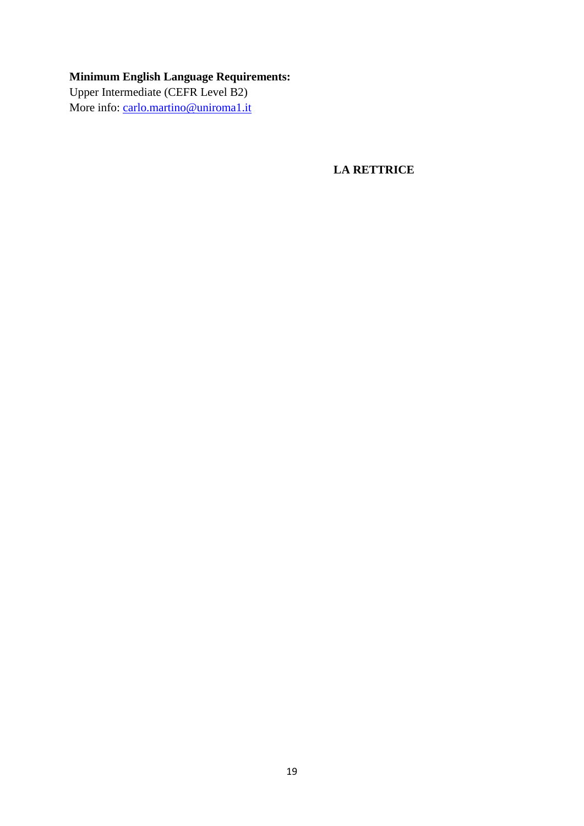## **Minimum English Language Requirements:**

Upper Intermediate (CEFR Level B2) More info: [carlo.martino@uniroma1.it](mailto:carlo.martino@uniroma1.it)

**LA RETTRICE**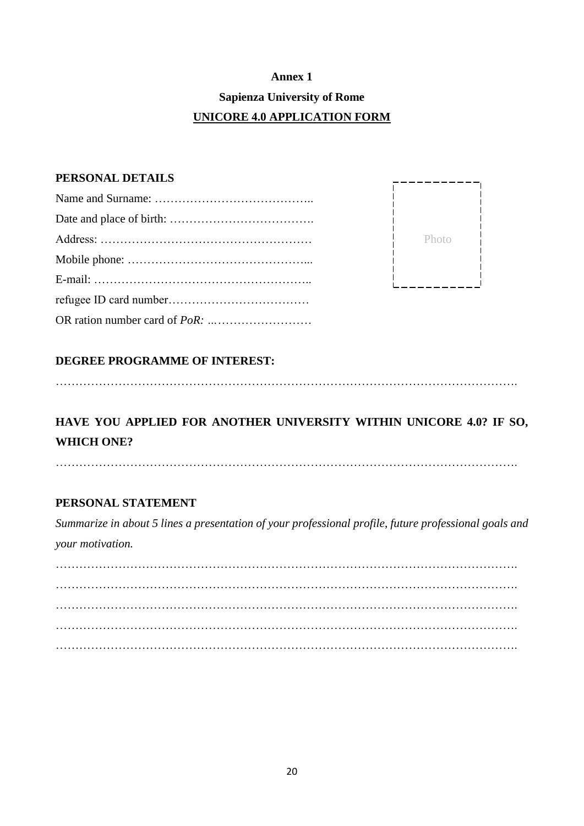## **Annex 1 Sapienza University of Rome UNICORE 4.0 APPLICATION FORM**

#### **PERSONAL DETAILS**

| Photo |
|-------|
|       |
|       |
|       |
|       |

#### **DEGREE PROGRAMME OF INTEREST:**

……………………………………………………………………………………………………….

## **HAVE YOU APPLIED FOR ANOTHER UNIVERSITY WITHIN UNICORE 4.0? IF SO, WHICH ONE?**

……………………………………………………………………………………………………….

#### **PERSONAL STATEMENT**

*Summarize in about 5 lines a presentation of your professional profile, future professional goals and your motivation.*

………………………………………………………………………………………………………. ………………………………………………………………………………………………………. ………………………………………………………………………………………………………. ………………………………………………………………………………………………………. ……………………………………………………………………………………………………….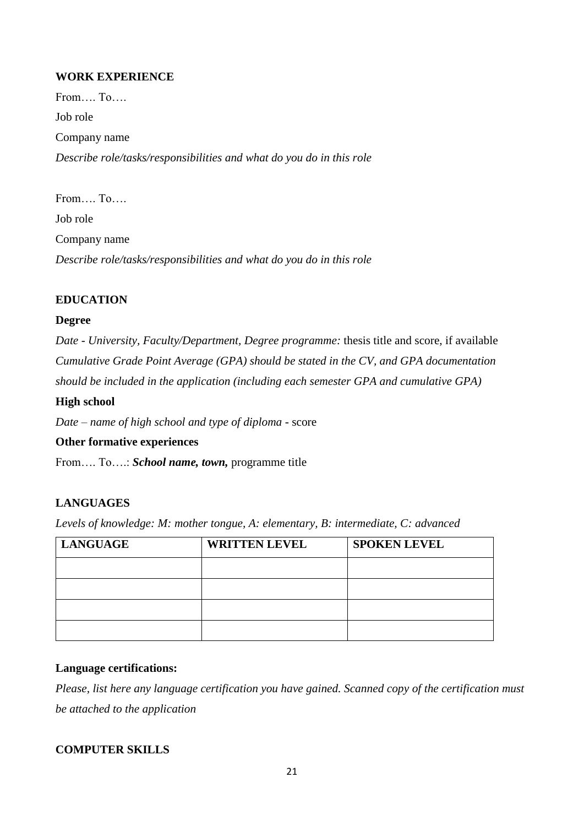#### **WORK EXPERIENCE**

From…. To…. Job role Company name *Describe role/tasks/responsibilities and what do you do in this role*

From…. To….

Job role

Company name

*Describe role/tasks/responsibilities and what do you do in this role*

#### **EDUCATION**

#### **Degree**

*Date - University, Faculty/Department, Degree programme:* thesis title and score, if available *Cumulative Grade Point Average (GPA) should be stated in the CV, and GPA documentation should be included in the application (including each semester GPA and cumulative GPA)*

#### **High school**

*Date – name of high school and type of diploma -* score

#### **Other formative experiences**

From…. To….: *School name, town,* programme title

#### **LANGUAGES**

*Levels of knowledge: M: mother tongue, A: elementary, B: intermediate, C: advanced*

| <b>LANGUAGE</b> | <b>WRITTEN LEVEL</b> | <b>SPOKEN LEVEL</b> |
|-----------------|----------------------|---------------------|
|                 |                      |                     |
|                 |                      |                     |
|                 |                      |                     |
|                 |                      |                     |

#### **Language certifications:**

*Please, list here any language certification you have gained. Scanned copy of the certification must be attached to the application*

#### **COMPUTER SKILLS**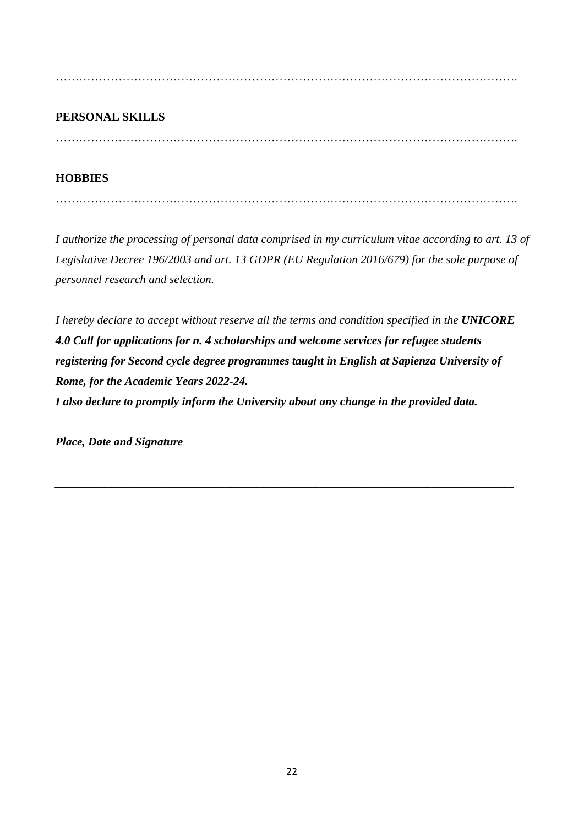……………………………………………………………………………………………………….

#### **PERSONAL SKILLS**

. The contract of the contract of the contract of the contract of the contract of the contract of the contract of the contract of the contract of the contract of the contract of the contract of the contract of the contrac

#### **HOBBIES**

……………………………………………………………………………………………………….

*I authorize the processing of personal data comprised in my curriculum vitae according to art. 13 of Legislative Decree 196/2003 and art. 13 GDPR (EU Regulation 2016/679) for the sole purpose of personnel research and selection.*

*I hereby declare to accept without reserve all the terms and condition specified in the UNICORE 4.0 Call for applications for n. 4 scholarships and welcome services for refugee students registering for Second cycle degree programmes taught in English at Sapienza University of Rome, for the Academic Years 2022-24. I also declare to promptly inform the University about any change in the provided data.*

*\_\_\_\_\_\_\_\_\_\_\_\_\_\_\_\_\_\_\_\_\_\_\_\_\_\_\_\_\_\_\_\_\_\_\_\_\_\_\_\_\_\_\_\_\_\_\_\_\_\_\_\_\_\_\_\_\_\_\_\_\_\_\_\_\_\_\_\_\_\_\_\_\_\_\_\_\_\_*

*Place, Date and Signature*